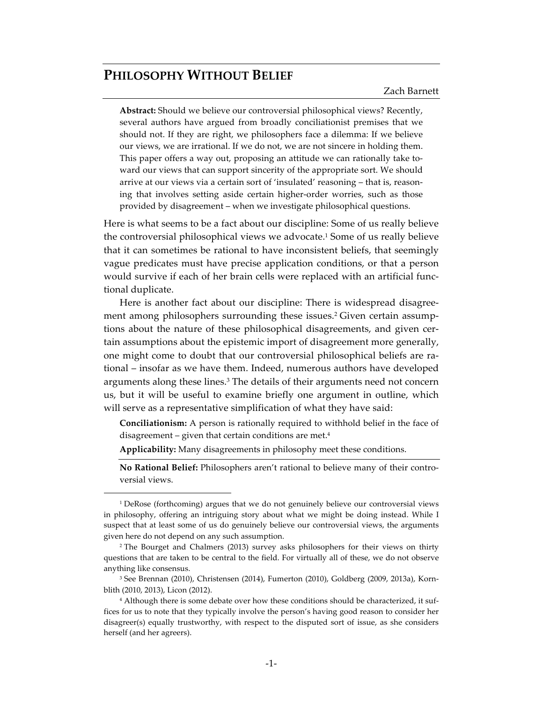# **PHILOSOPHY WITHOUT BELIEF**

#### Zach Barnett

**Abstract:** Should we believe our controversial philosophical views? Recently, several authors have argued from broadly conciliationist premises that we should not. If they are right, we philosophers face a dilemma: If we believe our views, we are irrational. If we do not, we are not sincere in holding them. This paper offers a way out, proposing an attitude we can rationally take toward our views that can support sincerity of the appropriate sort. We should arrive at our views via a certain sort of 'insulated' reasoning – that is, reasoning that involves setting aside certain higher-order worries, such as those provided by disagreement – when we investigate philosophical questions.

Here is what seems to be a fact about our discipline: Some of us really believe the controversial philosophical views we advocate.1 Some of us really believe that it can sometimes be rational to have inconsistent beliefs, that seemingly vague predicates must have precise application conditions, or that a person would survive if each of her brain cells were replaced with an artificial functional duplicate.

Here is another fact about our discipline: There is widespread disagreement among philosophers surrounding these issues.<sup>2</sup> Given certain assumptions about the nature of these philosophical disagreements, and given certain assumptions about the epistemic import of disagreement more generally, one might come to doubt that our controversial philosophical beliefs are rational – insofar as we have them. Indeed, numerous authors have developed arguments along these lines.<sup>3</sup> The details of their arguments need not concern us, but it will be useful to examine briefly one argument in outline, which will serve as a representative simplification of what they have said:

**Conciliationism:** A person is rationally required to withhold belief in the face of disagreement – given that certain conditions are met. 4

**Applicability:** Many disagreements in philosophy meet these conditions.

 $\overline{a}$ 

**No Rational Belief:** Philosophers aren't rational to believe many of their controversial views.

<sup>1</sup> DeRose (forthcoming) argues that we do not genuinely believe our controversial views in philosophy, offering an intriguing story about what we might be doing instead. While I suspect that at least some of us do genuinely believe our controversial views, the arguments given here do not depend on any such assumption.

<sup>2</sup> The Bourget and Chalmers (2013) survey asks philosophers for their views on thirty questions that are taken to be central to the field. For virtually all of these, we do not observe anything like consensus.

<sup>3</sup> See Brennan (2010), Christensen (2014), Fumerton (2010), Goldberg (2009, 2013a), Kornblith (2010, 2013), Licon (2012).

<sup>4</sup> Although there is some debate over how these conditions should be characterized, it suffices for us to note that they typically involve the person's having good reason to consider her disagreer(s) equally trustworthy, with respect to the disputed sort of issue, as she considers herself (and her agreers).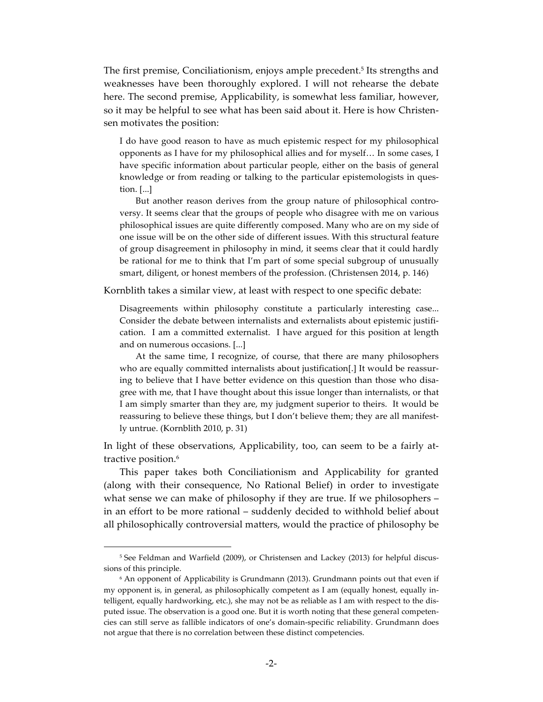The first premise, Conciliationism, enjoys ample precedent.<sup>5</sup> Its strengths and weaknesses have been thoroughly explored. I will not rehearse the debate here. The second premise, Applicability, is somewhat less familiar, however, so it may be helpful to see what has been said about it. Here is how Christensen motivates the position:

I do have good reason to have as much epistemic respect for my philosophical opponents as I have for my philosophical allies and for myself… In some cases, I have specific information about particular people, either on the basis of general knowledge or from reading or talking to the particular epistemologists in question. [...]

But another reason derives from the group nature of philosophical controversy. It seems clear that the groups of people who disagree with me on various philosophical issues are quite differently composed. Many who are on my side of one issue will be on the other side of different issues. With this structural feature of group disagreement in philosophy in mind, it seems clear that it could hardly be rational for me to think that I'm part of some special subgroup of unusually smart, diligent, or honest members of the profession. (Christensen 2014, p. 146)

Kornblith takes a similar view, at least with respect to one specific debate:

Disagreements within philosophy constitute a particularly interesting case... Consider the debate between internalists and externalists about epistemic justification. I am a committed externalist. I have argued for this position at length and on numerous occasions. [...]

At the same time, I recognize, of course, that there are many philosophers who are equally committed internalists about justification[.] It would be reassuring to believe that I have better evidence on this question than those who disagree with me, that I have thought about this issue longer than internalists, or that I am simply smarter than they are, my judgment superior to theirs. It would be reassuring to believe these things, but I don't believe them; they are all manifestly untrue. (Kornblith 2010, p. 31)

In light of these observations, Applicability, too, can seem to be a fairly attractive position.<sup>6</sup>

This paper takes both Conciliationism and Applicability for granted (along with their consequence, No Rational Belief) in order to investigate what sense we can make of philosophy if they are true. If we philosophers – in an effort to be more rational – suddenly decided to withhold belief about all philosophically controversial matters, would the practice of philosophy be

<sup>5</sup> See Feldman and Warfield (2009), or Christensen and Lackey (2013) for helpful discussions of this principle.

<sup>6</sup> An opponent of Applicability is Grundmann (2013). Grundmann points out that even if my opponent is, in general, as philosophically competent as I am (equally honest, equally intelligent, equally hardworking, etc.), she may not be as reliable as I am with respect to the disputed issue. The observation is a good one. But it is worth noting that these general competencies can still serve as fallible indicators of one's domain-specific reliability. Grundmann does not argue that there is no correlation between these distinct competencies.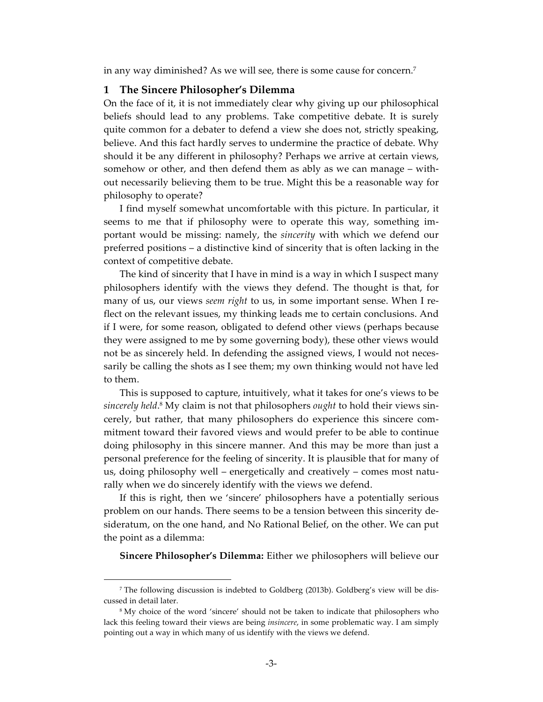in any way diminished? As we will see, there is some cause for concern.7

# **1 The Sincere Philosopher's Dilemma**

On the face of it, it is not immediately clear why giving up our philosophical beliefs should lead to any problems. Take competitive debate. It is surely quite common for a debater to defend a view she does not, strictly speaking, believe. And this fact hardly serves to undermine the practice of debate. Why should it be any different in philosophy? Perhaps we arrive at certain views, somehow or other, and then defend them as ably as we can manage – without necessarily believing them to be true. Might this be a reasonable way for philosophy to operate?

I find myself somewhat uncomfortable with this picture. In particular, it seems to me that if philosophy were to operate this way, something important would be missing: namely, the *sincerity* with which we defend our preferred positions – a distinctive kind of sincerity that is often lacking in the context of competitive debate.

The kind of sincerity that I have in mind is a way in which I suspect many philosophers identify with the views they defend. The thought is that, for many of us, our views *seem right* to us, in some important sense. When I reflect on the relevant issues, my thinking leads me to certain conclusions. And if I were, for some reason, obligated to defend other views (perhaps because they were assigned to me by some governing body), these other views would not be as sincerely held. In defending the assigned views, I would not necessarily be calling the shots as I see them; my own thinking would not have led to them.

This is supposed to capture, intuitively, what it takes for one's views to be *sincerely held*. <sup>8</sup> My claim is not that philosophers *ought* to hold their views sincerely, but rather, that many philosophers do experience this sincere commitment toward their favored views and would prefer to be able to continue doing philosophy in this sincere manner. And this may be more than just a personal preference for the feeling of sincerity. It is plausible that for many of us, doing philosophy well – energetically and creatively – comes most naturally when we do sincerely identify with the views we defend.

If this is right, then we 'sincere' philosophers have a potentially serious problem on our hands. There seems to be a tension between this sincerity desideratum, on the one hand, and No Rational Belief, on the other. We can put the point as a dilemma:

**Sincere Philosopher's Dilemma:** Either we philosophers will believe our

<sup>7</sup> The following discussion is indebted to Goldberg (2013b). Goldberg's view will be discussed in detail later.

<sup>8</sup> My choice of the word 'sincere' should not be taken to indicate that philosophers who lack this feeling toward their views are being *insincere*, in some problematic way. I am simply pointing out a way in which many of us identify with the views we defend.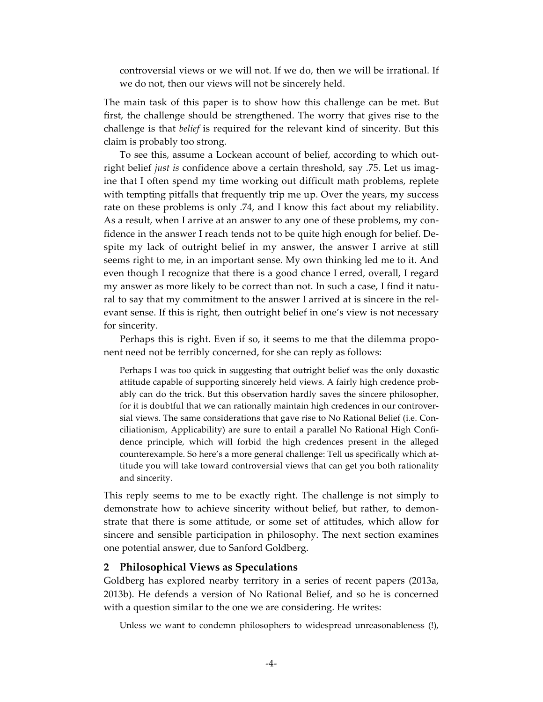controversial views or we will not. If we do, then we will be irrational. If we do not, then our views will not be sincerely held.

The main task of this paper is to show how this challenge can be met. But first, the challenge should be strengthened. The worry that gives rise to the challenge is that *belief* is required for the relevant kind of sincerity. But this claim is probably too strong.

To see this, assume a Lockean account of belief, according to which outright belief *just is* confidence above a certain threshold, say .75. Let us imagine that I often spend my time working out difficult math problems, replete with tempting pitfalls that frequently trip me up. Over the years, my success rate on these problems is only .74, and I know this fact about my reliability. As a result, when I arrive at an answer to any one of these problems, my confidence in the answer I reach tends not to be quite high enough for belief. Despite my lack of outright belief in my answer, the answer I arrive at still seems right to me, in an important sense. My own thinking led me to it. And even though I recognize that there is a good chance I erred, overall, I regard my answer as more likely to be correct than not. In such a case, I find it natural to say that my commitment to the answer I arrived at is sincere in the relevant sense. If this is right, then outright belief in one's view is not necessary for sincerity.

Perhaps this is right. Even if so, it seems to me that the dilemma proponent need not be terribly concerned, for she can reply as follows:

Perhaps I was too quick in suggesting that outright belief was the only doxastic attitude capable of supporting sincerely held views. A fairly high credence probably can do the trick. But this observation hardly saves the sincere philosopher, for it is doubtful that we can rationally maintain high credences in our controversial views. The same considerations that gave rise to No Rational Belief (i.e. Conciliationism, Applicability) are sure to entail a parallel No Rational High Confidence principle, which will forbid the high credences present in the alleged counterexample. So here's a more general challenge: Tell us specifically which attitude you will take toward controversial views that can get you both rationality and sincerity.

This reply seems to me to be exactly right. The challenge is not simply to demonstrate how to achieve sincerity without belief, but rather, to demonstrate that there is some attitude, or some set of attitudes, which allow for sincere and sensible participation in philosophy. The next section examines one potential answer, due to Sanford Goldberg.

#### **2 Philosophical Views as Speculations**

Goldberg has explored nearby territory in a series of recent papers (2013a, 2013b). He defends a version of No Rational Belief, and so he is concerned with a question similar to the one we are considering. He writes:

Unless we want to condemn philosophers to widespread unreasonableness (!),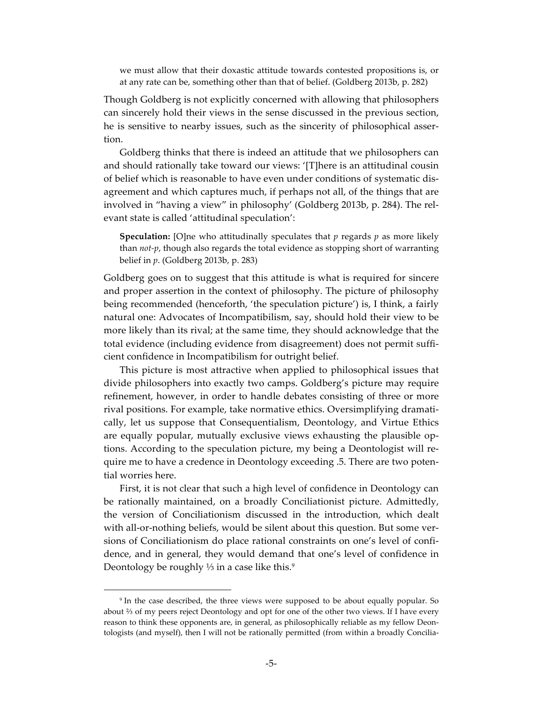we must allow that their doxastic attitude towards contested propositions is, or at any rate can be, something other than that of belief. (Goldberg 2013b, p. 282)

Though Goldberg is not explicitly concerned with allowing that philosophers can sincerely hold their views in the sense discussed in the previous section, he is sensitive to nearby issues, such as the sincerity of philosophical assertion.

Goldberg thinks that there is indeed an attitude that we philosophers can and should rationally take toward our views: '[T]here is an attitudinal cousin of belief which is reasonable to have even under conditions of systematic disagreement and which captures much, if perhaps not all, of the things that are involved in "having a view" in philosophy' (Goldberg 2013b, p. 284). The relevant state is called 'attitudinal speculation':

**Speculation:** [O]ne who attitudinally speculates that *p* regards *p* as more likely than *not-p*, though also regards the total evidence as stopping short of warranting belief in *p*. (Goldberg 2013b, p. 283)

Goldberg goes on to suggest that this attitude is what is required for sincere and proper assertion in the context of philosophy. The picture of philosophy being recommended (henceforth, 'the speculation picture') is, I think, a fairly natural one: Advocates of Incompatibilism, say, should hold their view to be more likely than its rival; at the same time, they should acknowledge that the total evidence (including evidence from disagreement) does not permit sufficient confidence in Incompatibilism for outright belief.

This picture is most attractive when applied to philosophical issues that divide philosophers into exactly two camps. Goldberg's picture may require refinement, however, in order to handle debates consisting of three or more rival positions. For example, take normative ethics. Oversimplifying dramatically, let us suppose that Consequentialism, Deontology, and Virtue Ethics are equally popular, mutually exclusive views exhausting the plausible options. According to the speculation picture, my being a Deontologist will require me to have a credence in Deontology exceeding .5. There are two potential worries here.

First, it is not clear that such a high level of confidence in Deontology can be rationally maintained, on a broadly Conciliationist picture. Admittedly, the version of Conciliationism discussed in the introduction, which dealt with all-or-nothing beliefs, would be silent about this question. But some versions of Conciliationism do place rational constraints on one's level of confidence, and in general, they would demand that one's level of confidence in Deontology be roughly ⅓ in a case like this.<sup>9</sup>

<sup>9</sup> In the case described, the three views were supposed to be about equally popular. So about ⅔ of my peers reject Deontology and opt for one of the other two views. If I have every reason to think these opponents are, in general, as philosophically reliable as my fellow Deontologists (and myself), then I will not be rationally permitted (from within a broadly Concilia-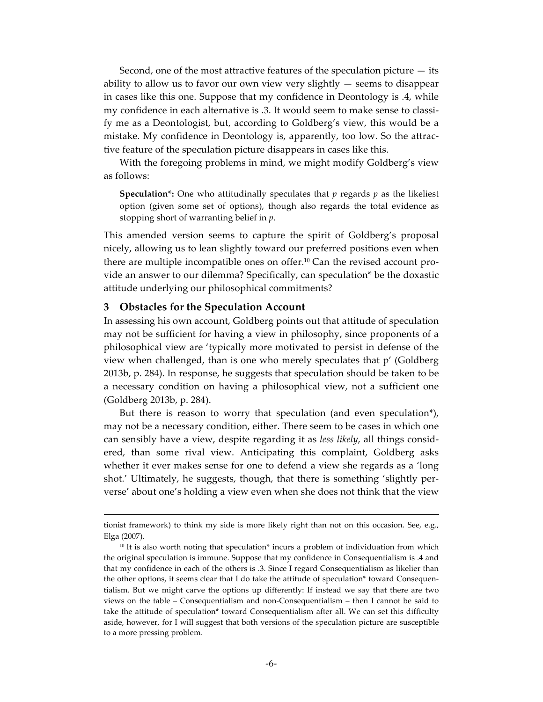Second, one of the most attractive features of the speculation picture  $-$  its ability to allow us to favor our own view very slightly — seems to disappear in cases like this one. Suppose that my confidence in Deontology is .4, while my confidence in each alternative is .3. It would seem to make sense to classify me as a Deontologist, but, according to Goldberg's view, this would be a mistake. My confidence in Deontology is, apparently, too low. So the attractive feature of the speculation picture disappears in cases like this.

With the foregoing problems in mind, we might modify Goldberg's view as follows:

**Speculation<sup>\*</sup>:** One who attitudinally speculates that  $p$  regards  $p$  as the likeliest option (given some set of options), though also regards the total evidence as stopping short of warranting belief in *p*.

This amended version seems to capture the spirit of Goldberg's proposal nicely, allowing us to lean slightly toward our preferred positions even when there are multiple incompatible ones on offer.<sup>10</sup> Can the revised account provide an answer to our dilemma? Specifically, can speculation\* be the doxastic attitude underlying our philosophical commitments?

### **3 Obstacles for the Speculation Account**

 $\overline{a}$ 

In assessing his own account, Goldberg points out that attitude of speculation may not be sufficient for having a view in philosophy, since proponents of a philosophical view are 'typically more motivated to persist in defense of the view when challenged, than is one who merely speculates that p' (Goldberg 2013b, p. 284). In response, he suggests that speculation should be taken to be a necessary condition on having a philosophical view, not a sufficient one (Goldberg 2013b, p. 284).

But there is reason to worry that speculation (and even speculation\*), may not be a necessary condition, either. There seem to be cases in which one can sensibly have a view, despite regarding it as *less likely*, all things considered, than some rival view. Anticipating this complaint, Goldberg asks whether it ever makes sense for one to defend a view she regards as a 'long shot.' Ultimately, he suggests, though, that there is something 'slightly perverse' about one's holding a view even when she does not think that the view

tionist framework) to think my side is more likely right than not on this occasion. See, e.g., Elga (2007).

 $10$  It is also worth noting that speculation\* incurs a problem of individuation from which the original speculation is immune. Suppose that my confidence in Consequentialism is .4 and that my confidence in each of the others is .3. Since I regard Consequentialism as likelier than the other options, it seems clear that I do take the attitude of speculation\* toward Consequentialism. But we might carve the options up differently: If instead we say that there are two views on the table – Consequentialism and non-Consequentialism – then I cannot be said to take the attitude of speculation\* toward Consequentialism after all. We can set this difficulty aside, however, for I will suggest that both versions of the speculation picture are susceptible to a more pressing problem.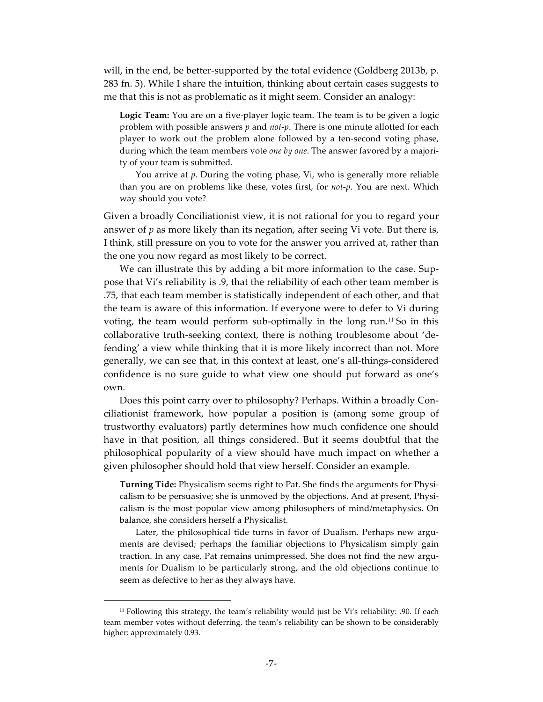will, in the end, be better-supported by the total evidence (Goldberg 2013b, p. 283 fn. 5). While I share the intuition, thinking about certain cases suggests to me that this is not as problematic as it might seem. Consider an analogy:

**Logic Team:** You are on a five-player logic team. The team is to be given a logic problem with possible answers *p* and *not-p*. There is one minute allotted for each player to work out the problem alone followed by a ten-second voting phase, during which the team members vote *one by one*. The answer favored by a majority of your team is submitted.

You arrive at *p*. During the voting phase, Vi, who is generally more reliable than you are on problems like these, votes first, for *not-p*. You are next. Which way should you vote?

Given a broadly Conciliationist view, it is not rational for you to regard your answer of *p* as more likely than its negation, after seeing Vi vote. But there is, I think, still pressure on you to vote for the answer you arrived at, rather than the one you now regard as most likely to be correct.

We can illustrate this by adding a bit more information to the case. Suppose that Vi's reliability is .9, that the reliability of each other team member is .75, that each team member is statistically independent of each other, and that the team is aware of this information. If everyone were to defer to Vi during voting, the team would perform sub-optimally in the long run.11 So in this collaborative truth-seeking context, there is nothing troublesome about 'defending' a view while thinking that it is more likely incorrect than not. More generally, we can see that, in this context at least, one's all-things-considered confidence is no sure guide to what view one should put forward as one's own.

Does this point carry over to philosophy? Perhaps. Within a broadly Conciliationist framework, how popular a position is (among some group of trustworthy evaluators) partly determines how much confidence one should have in that position, all things considered. But it seems doubtful that the philosophical popularity of a view should have much impact on whether a given philosopher should hold that view herself. Consider an example.

**Turning Tide:** Physicalism seems right to Pat. She finds the arguments for Physicalism to be persuasive; she is unmoved by the objections. And at present, Physicalism is the most popular view among philosophers of mind/metaphysics. On balance, she considers herself a Physicalist.

Later, the philosophical tide turns in favor of Dualism. Perhaps new arguments are devised; perhaps the familiar objections to Physicalism simply gain traction. In any case, Pat remains unimpressed. She does not find the new arguments for Dualism to be particularly strong, and the old objections continue to seem as defective to her as they always have.

<sup>&</sup>lt;sup>11</sup> Following this strategy, the team's reliability would just be Vi's reliability: .90. If each team member votes without deferring, the team's reliability can be shown to be considerably higher: approximately 0.93.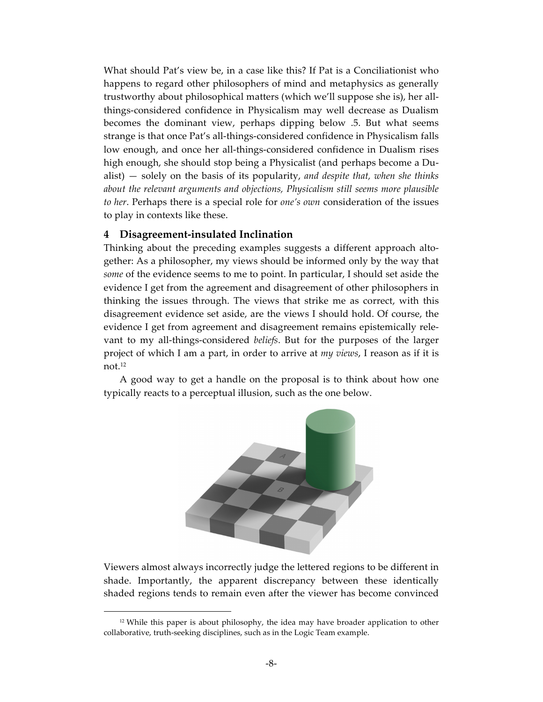What should Pat's view be, in a case like this? If Pat is a Conciliationist who happens to regard other philosophers of mind and metaphysics as generally trustworthy about philosophical matters (which we'll suppose she is), her allthings-considered confidence in Physicalism may well decrease as Dualism becomes the dominant view, perhaps dipping below .5. But what seems strange is that once Pat's all-things-considered confidence in Physicalism falls low enough, and once her all-things-considered confidence in Dualism rises high enough, she should stop being a Physicalist (and perhaps become a Dualist) — solely on the basis of its popularity, *and despite that, when she thinks about the relevant arguments and objections, Physicalism still seems more plausible to her*. Perhaps there is a special role for *one's own* consideration of the issues to play in contexts like these.

#### **4 Disagreement-insulated Inclination**

 $\overline{a}$ 

Thinking about the preceding examples suggests a different approach altogether: As a philosopher, my views should be informed only by the way that *some* of the evidence seems to me to point. In particular, I should set aside the evidence I get from the agreement and disagreement of other philosophers in thinking the issues through. The views that strike me as correct, with this disagreement evidence set aside, are the views I should hold. Of course, the evidence I get from agreement and disagreement remains epistemically relevant to my all-things-considered *beliefs*. But for the purposes of the larger project of which I am a part, in order to arrive at *my views*, I reason as if it is not.12

A good way to get a handle on the proposal is to think about how one typically reacts to a perceptual illusion, such as the one below.



Viewers almost always incorrectly judge the lettered regions to be different in shade. Importantly, the apparent discrepancy between these identically shaded regions tends to remain even after the viewer has become convinced

<sup>&</sup>lt;sup>12</sup> While this paper is about philosophy, the idea may have broader application to other collaborative, truth-seeking disciplines, such as in the Logic Team example.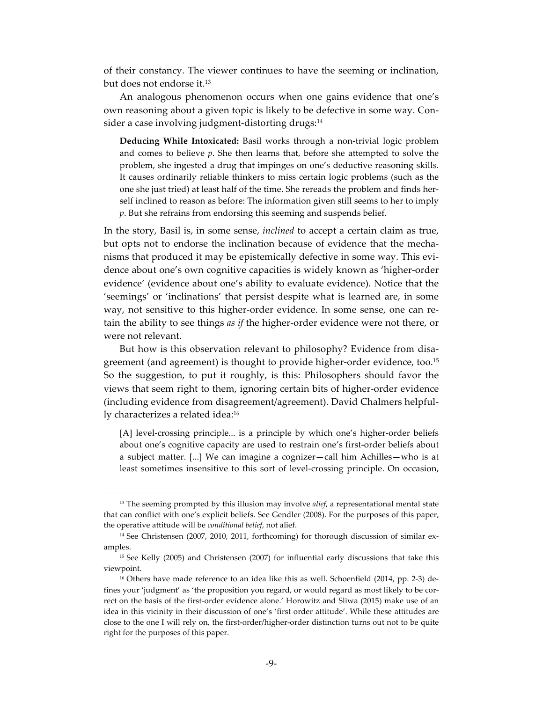of their constancy. The viewer continues to have the seeming or inclination, but does not endorse it.13

An analogous phenomenon occurs when one gains evidence that one's own reasoning about a given topic is likely to be defective in some way. Consider a case involving judgment-distorting drugs:<sup>14</sup>

**Deducing While Intoxicated:** Basil works through a non-trivial logic problem and comes to believe *p*. She then learns that, before she attempted to solve the problem, she ingested a drug that impinges on one's deductive reasoning skills. It causes ordinarily reliable thinkers to miss certain logic problems (such as the one she just tried) at least half of the time. She rereads the problem and finds herself inclined to reason as before: The information given still seems to her to imply *p*. But she refrains from endorsing this seeming and suspends belief.

In the story, Basil is, in some sense, *inclined* to accept a certain claim as true, but opts not to endorse the inclination because of evidence that the mechanisms that produced it may be epistemically defective in some way. This evidence about one's own cognitive capacities is widely known as 'higher-order evidence' (evidence about one's ability to evaluate evidence). Notice that the 'seemings' or 'inclinations' that persist despite what is learned are, in some way, not sensitive to this higher-order evidence. In some sense, one can retain the ability to see things *as if* the higher-order evidence were not there, or were not relevant.

But how is this observation relevant to philosophy? Evidence from disagreement (and agreement) is thought to provide higher-order evidence, too.15 So the suggestion, to put it roughly, is this: Philosophers should favor the views that seem right to them, ignoring certain bits of higher-order evidence (including evidence from disagreement/agreement). David Chalmers helpfully characterizes a related idea:16

[A] level-crossing principle... is a principle by which one's higher-order beliefs about one's cognitive capacity are used to restrain one's first-order beliefs about a subject matter. [...] We can imagine a cognizer—call him Achilles—who is at least sometimes insensitive to this sort of level-crossing principle. On occasion,

<sup>&</sup>lt;sup>13</sup> The seeming prompted by this illusion may involve *alief*, a representational mental state that can conflict with one's explicit beliefs. See Gendler (2008). For the purposes of this paper, the operative attitude will be *conditional belief*, not alief.

<sup>&</sup>lt;sup>14</sup> See Christensen (2007, 2010, 2011, forthcoming) for thorough discussion of similar examples.

<sup>15</sup> See Kelly (2005) and Christensen (2007) for influential early discussions that take this viewpoint.

<sup>&</sup>lt;sup>16</sup> Others have made reference to an idea like this as well. Schoenfield (2014, pp. 2-3) defines your 'judgment' as 'the proposition you regard, or would regard as most likely to be correct on the basis of the first-order evidence alone.' Horowitz and Sliwa (2015) make use of an idea in this vicinity in their discussion of one's 'first order attitude'. While these attitudes are close to the one I will rely on, the first-order/higher-order distinction turns out not to be quite right for the purposes of this paper.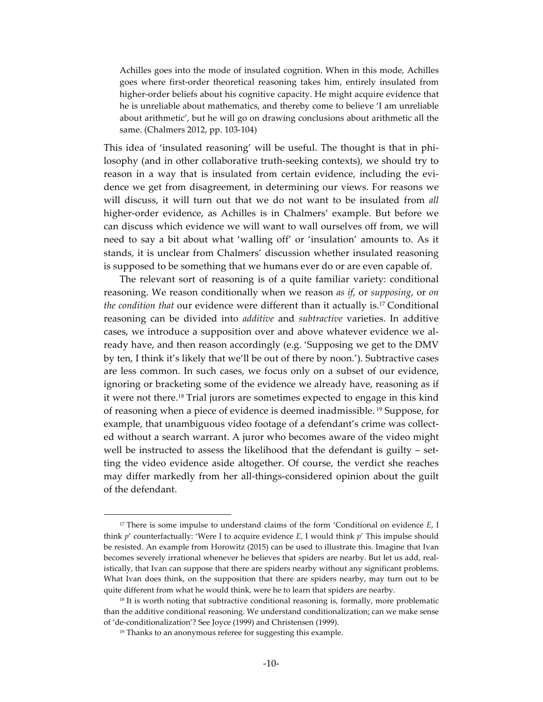Achilles goes into the mode of insulated cognition. When in this mode, Achilles goes where first-order theoretical reasoning takes him, entirely insulated from higher-order beliefs about his cognitive capacity. He might acquire evidence that he is unreliable about mathematics, and thereby come to believe 'I am unreliable about arithmetic', but he will go on drawing conclusions about arithmetic all the same. (Chalmers 2012, pp. 103-104)

This idea of 'insulated reasoning' will be useful. The thought is that in philosophy (and in other collaborative truth-seeking contexts), we should try to reason in a way that is insulated from certain evidence, including the evidence we get from disagreement, in determining our views. For reasons we will discuss, it will turn out that we do not want to be insulated from *all* higher-order evidence, as Achilles is in Chalmers' example. But before we can discuss which evidence we will want to wall ourselves off from, we will need to say a bit about what 'walling off' or 'insulation' amounts to. As it stands, it is unclear from Chalmers' discussion whether insulated reasoning is supposed to be something that we humans ever do or are even capable of.

The relevant sort of reasoning is of a quite familiar variety: conditional reasoning. We reason conditionally when we reason *as if*, or *supposing*, or *on the condition that* our evidence were different than it actually is.17 Conditional reasoning can be divided into *additive* and *subtractive* varieties. In additive cases, we introduce a supposition over and above whatever evidence we already have, and then reason accordingly (e.g. 'Supposing we get to the DMV by ten, I think it's likely that we'll be out of there by noon.'). Subtractive cases are less common. In such cases, we focus only on a subset of our evidence, ignoring or bracketing some of the evidence we already have, reasoning as if it were not there.18 Trial jurors are sometimes expected to engage in this kind of reasoning when a piece of evidence is deemed inadmissible. <sup>19</sup> Suppose, for example, that unambiguous video footage of a defendant's crime was collected without a search warrant. A juror who becomes aware of the video might well be instructed to assess the likelihood that the defendant is guilty – setting the video evidence aside altogether. Of course, the verdict she reaches may differ markedly from her all-things-considered opinion about the guilt of the defendant.

<sup>17</sup> There is some impulse to understand claims of the form 'Conditional on evidence *E*, I think *p*' counterfactually: 'Were I to acquire evidence *E*, I would think *p*' This impulse should be resisted. An example from Horowitz (2015) can be used to illustrate this. Imagine that Ivan becomes severely irrational whenever he believes that spiders are nearby. But let us add, realistically, that Ivan can suppose that there are spiders nearby without any significant problems. What Ivan does think, on the supposition that there are spiders nearby, may turn out to be quite different from what he would think, were he to learn that spiders are nearby.

<sup>&</sup>lt;sup>18</sup> It is worth noting that subtractive conditional reasoning is, formally, more problematic than the additive conditional reasoning. We understand conditionalization; can we make sense of 'de-conditionalization'? See Joyce (1999) and Christensen (1999).

<sup>&</sup>lt;sup>19</sup> Thanks to an anonymous referee for suggesting this example.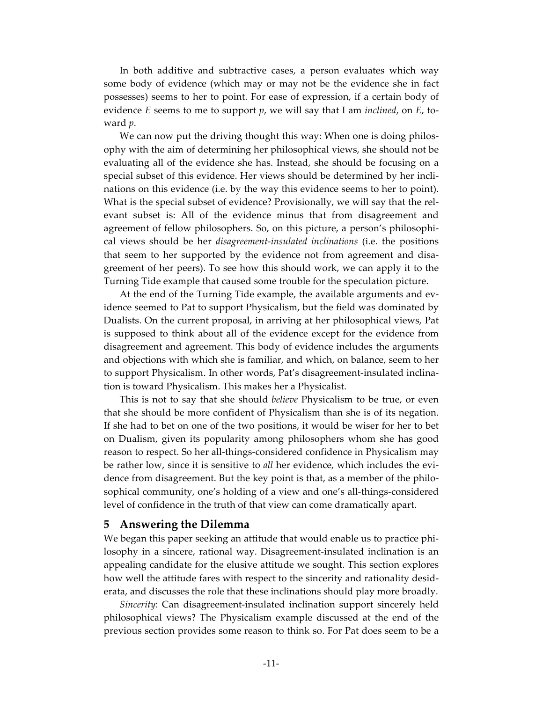In both additive and subtractive cases, a person evaluates which way some body of evidence (which may or may not be the evidence she in fact possesses) seems to her to point. For ease of expression, if a certain body of evidence *E* seems to me to support *p*, we will say that I am *inclined*, on *E*, toward *p*.

We can now put the driving thought this way: When one is doing philosophy with the aim of determining her philosophical views, she should not be evaluating all of the evidence she has. Instead, she should be focusing on a special subset of this evidence. Her views should be determined by her inclinations on this evidence (i.e. by the way this evidence seems to her to point). What is the special subset of evidence? Provisionally, we will say that the relevant subset is: All of the evidence minus that from disagreement and agreement of fellow philosophers. So, on this picture, a person's philosophical views should be her *disagreement-insulated inclinations* (i.e. the positions that seem to her supported by the evidence not from agreement and disagreement of her peers). To see how this should work, we can apply it to the Turning Tide example that caused some trouble for the speculation picture.

At the end of the Turning Tide example, the available arguments and evidence seemed to Pat to support Physicalism, but the field was dominated by Dualists. On the current proposal, in arriving at her philosophical views, Pat is supposed to think about all of the evidence except for the evidence from disagreement and agreement. This body of evidence includes the arguments and objections with which she is familiar, and which, on balance, seem to her to support Physicalism. In other words, Pat's disagreement-insulated inclination is toward Physicalism. This makes her a Physicalist.

This is not to say that she should *believe* Physicalism to be true, or even that she should be more confident of Physicalism than she is of its negation. If she had to bet on one of the two positions, it would be wiser for her to bet on Dualism, given its popularity among philosophers whom she has good reason to respect. So her all-things-considered confidence in Physicalism may be rather low, since it is sensitive to *all* her evidence, which includes the evidence from disagreement. But the key point is that, as a member of the philosophical community, one's holding of a view and one's all-things-considered level of confidence in the truth of that view can come dramatically apart.

#### **5 Answering the Dilemma**

We began this paper seeking an attitude that would enable us to practice philosophy in a sincere, rational way. Disagreement-insulated inclination is an appealing candidate for the elusive attitude we sought. This section explores how well the attitude fares with respect to the sincerity and rationality desiderata, and discusses the role that these inclinations should play more broadly.

*Sincerity*: Can disagreement-insulated inclination support sincerely held philosophical views? The Physicalism example discussed at the end of the previous section provides some reason to think so. For Pat does seem to be a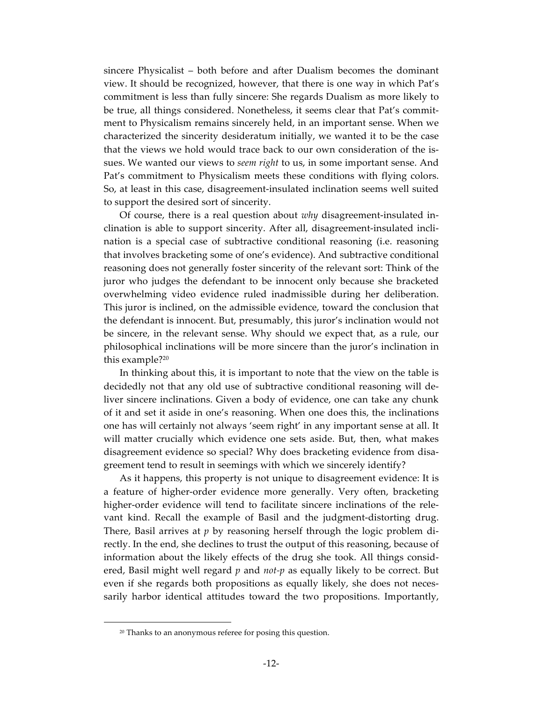sincere Physicalist – both before and after Dualism becomes the dominant view. It should be recognized, however, that there is one way in which Pat's commitment is less than fully sincere: She regards Dualism as more likely to be true, all things considered. Nonetheless, it seems clear that Pat's commitment to Physicalism remains sincerely held, in an important sense. When we characterized the sincerity desideratum initially, we wanted it to be the case that the views we hold would trace back to our own consideration of the issues. We wanted our views to *seem right* to us, in some important sense. And Pat's commitment to Physicalism meets these conditions with flying colors. So, at least in this case, disagreement-insulated inclination seems well suited to support the desired sort of sincerity.

Of course, there is a real question about *why* disagreement-insulated inclination is able to support sincerity. After all, disagreement-insulated inclination is a special case of subtractive conditional reasoning (i.e. reasoning that involves bracketing some of one's evidence). And subtractive conditional reasoning does not generally foster sincerity of the relevant sort: Think of the juror who judges the defendant to be innocent only because she bracketed overwhelming video evidence ruled inadmissible during her deliberation. This juror is inclined, on the admissible evidence, toward the conclusion that the defendant is innocent. But, presumably, this juror's inclination would not be sincere, in the relevant sense. Why should we expect that, as a rule, our philosophical inclinations will be more sincere than the juror's inclination in this example?20

In thinking about this, it is important to note that the view on the table is decidedly not that any old use of subtractive conditional reasoning will deliver sincere inclinations. Given a body of evidence, one can take any chunk of it and set it aside in one's reasoning. When one does this, the inclinations one has will certainly not always 'seem right' in any important sense at all. It will matter crucially which evidence one sets aside. But, then, what makes disagreement evidence so special? Why does bracketing evidence from disagreement tend to result in seemings with which we sincerely identify?

As it happens, this property is not unique to disagreement evidence: It is a feature of higher-order evidence more generally. Very often, bracketing higher-order evidence will tend to facilitate sincere inclinations of the relevant kind. Recall the example of Basil and the judgment-distorting drug. There, Basil arrives at *p* by reasoning herself through the logic problem directly. In the end, she declines to trust the output of this reasoning, because of information about the likely effects of the drug she took. All things considered, Basil might well regard *p* and *not-p* as equally likely to be correct. But even if she regards both propositions as equally likely, she does not necessarily harbor identical attitudes toward the two propositions. Importantly,

<sup>&</sup>lt;sup>20</sup> Thanks to an anonymous referee for posing this question.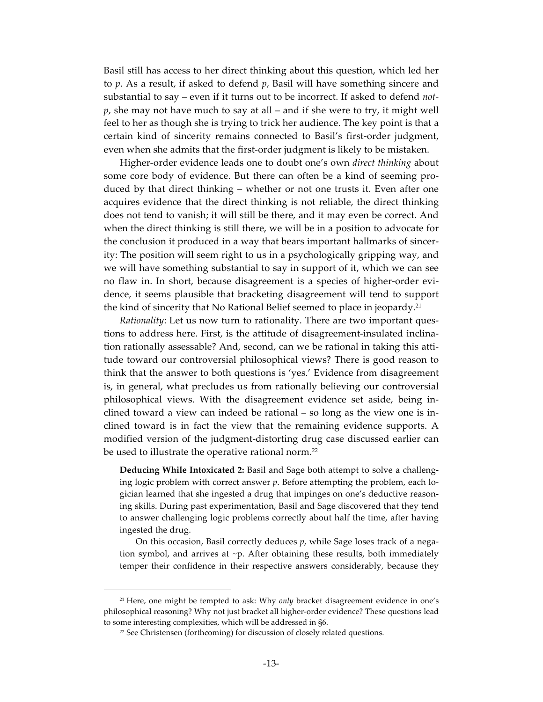Basil still has access to her direct thinking about this question, which led her to *p*. As a result, if asked to defend *p*, Basil will have something sincere and substantial to say – even if it turns out to be incorrect. If asked to defend *notp*, she may not have much to say at all – and if she were to try, it might well feel to her as though she is trying to trick her audience. The key point is that a certain kind of sincerity remains connected to Basil's first-order judgment, even when she admits that the first-order judgment is likely to be mistaken.

Higher-order evidence leads one to doubt one's own *direct thinking* about some core body of evidence. But there can often be a kind of seeming produced by that direct thinking – whether or not one trusts it. Even after one acquires evidence that the direct thinking is not reliable, the direct thinking does not tend to vanish; it will still be there, and it may even be correct. And when the direct thinking is still there, we will be in a position to advocate for the conclusion it produced in a way that bears important hallmarks of sincerity: The position will seem right to us in a psychologically gripping way, and we will have something substantial to say in support of it, which we can see no flaw in. In short, because disagreement is a species of higher-order evidence, it seems plausible that bracketing disagreement will tend to support the kind of sincerity that No Rational Belief seemed to place in jeopardy.21

*Rationality*: Let us now turn to rationality. There are two important questions to address here. First, is the attitude of disagreement-insulated inclination rationally assessable? And, second, can we be rational in taking this attitude toward our controversial philosophical views? There is good reason to think that the answer to both questions is 'yes.' Evidence from disagreement is, in general, what precludes us from rationally believing our controversial philosophical views. With the disagreement evidence set aside, being inclined toward a view can indeed be rational – so long as the view one is inclined toward is in fact the view that the remaining evidence supports. A modified version of the judgment-distorting drug case discussed earlier can be used to illustrate the operative rational norm.<sup>22</sup>

**Deducing While Intoxicated 2:** Basil and Sage both attempt to solve a challenging logic problem with correct answer *p*. Before attempting the problem, each logician learned that she ingested a drug that impinges on one's deductive reasoning skills. During past experimentation, Basil and Sage discovered that they tend to answer challenging logic problems correctly about half the time, after having ingested the drug.

On this occasion, Basil correctly deduces *p*, while Sage loses track of a negation symbol, and arrives at *~*p. After obtaining these results, both immediately temper their confidence in their respective answers considerably, because they

<sup>21</sup> Here, one might be tempted to ask: Why *only* bracket disagreement evidence in one's philosophical reasoning? Why not just bracket all higher-order evidence? These questions lead to some interesting complexities, which will be addressed in §6.

<sup>&</sup>lt;sup>22</sup> See Christensen (forthcoming) for discussion of closely related questions.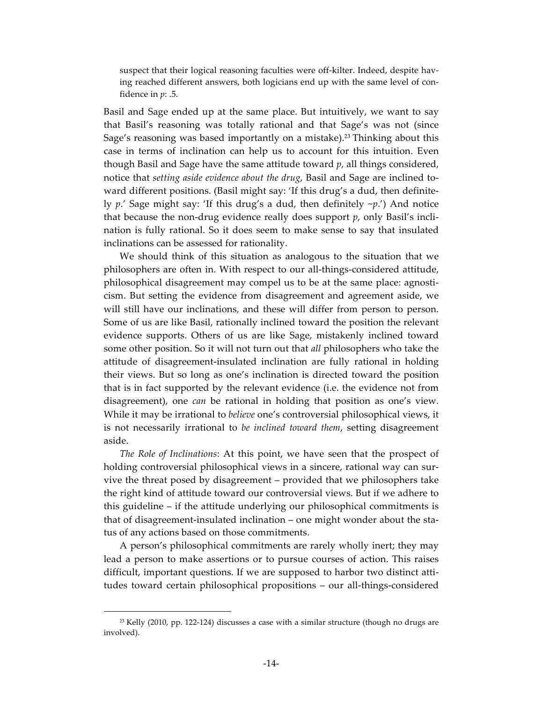suspect that their logical reasoning faculties were off-kilter. Indeed, despite having reached different answers, both logicians end up with the same level of confidence in *p*: .5.

Basil and Sage ended up at the same place. But intuitively, we want to say that Basil's reasoning was totally rational and that Sage's was not (since Sage's reasoning was based importantly on a mistake).<sup>23</sup> Thinking about this case in terms of inclination can help us to account for this intuition. Even though Basil and Sage have the same attitude toward *p*, all things considered, notice that *setting aside evidence about the drug*, Basil and Sage are inclined toward different positions. (Basil might say: 'If this drug's a dud, then definitely *p*.' Sage might say: 'If this drug's a dud, then definitely ~*p*.') And notice that because the non-drug evidence really does support *p*, only Basil's inclination is fully rational. So it does seem to make sense to say that insulated inclinations can be assessed for rationality.

We should think of this situation as analogous to the situation that we philosophers are often in. With respect to our all-things-considered attitude, philosophical disagreement may compel us to be at the same place: agnosticism. But setting the evidence from disagreement and agreement aside, we will still have our inclinations, and these will differ from person to person. Some of us are like Basil, rationally inclined toward the position the relevant evidence supports. Others of us are like Sage, mistakenly inclined toward some other position. So it will not turn out that *all* philosophers who take the attitude of disagreement-insulated inclination are fully rational in holding their views. But so long as one's inclination is directed toward the position that is in fact supported by the relevant evidence (i.e. the evidence not from disagreement), one *can* be rational in holding that position as one's view. While it may be irrational to *believe* one's controversial philosophical views, it is not necessarily irrational to *be inclined toward them*, setting disagreement aside.

*The Role of Inclinations*: At this point, we have seen that the prospect of holding controversial philosophical views in a sincere, rational way can survive the threat posed by disagreement – provided that we philosophers take the right kind of attitude toward our controversial views. But if we adhere to this guideline – if the attitude underlying our philosophical commitments is that of disagreement-insulated inclination – one might wonder about the status of any actions based on those commitments.

A person's philosophical commitments are rarely wholly inert; they may lead a person to make assertions or to pursue courses of action. This raises difficult, important questions. If we are supposed to harbor two distinct attitudes toward certain philosophical propositions – our all-things-considered

<sup>&</sup>lt;sup>23</sup> Kelly (2010, pp. 122-124) discusses a case with a similar structure (though no drugs are involved).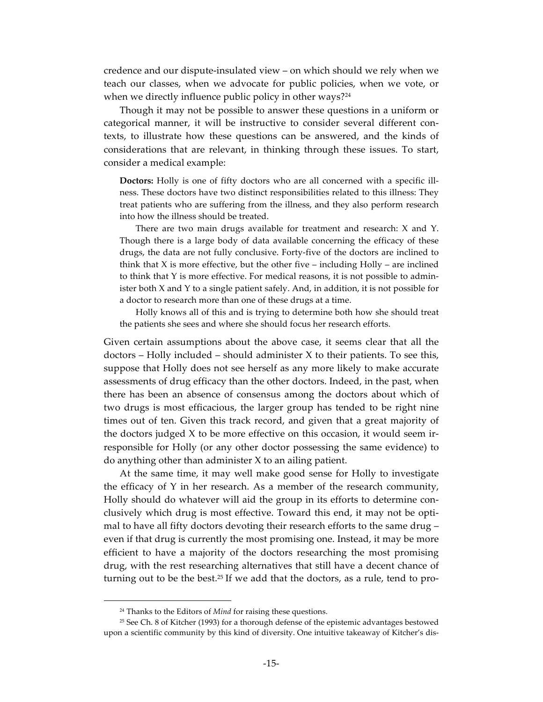credence and our dispute-insulated view – on which should we rely when we teach our classes, when we advocate for public policies, when we vote, or when we directly influence public policy in other ways?<sup>24</sup>

Though it may not be possible to answer these questions in a uniform or categorical manner, it will be instructive to consider several different contexts, to illustrate how these questions can be answered, and the kinds of considerations that are relevant, in thinking through these issues. To start, consider a medical example:

**Doctors:** Holly is one of fifty doctors who are all concerned with a specific illness. These doctors have two distinct responsibilities related to this illness: They treat patients who are suffering from the illness, and they also perform research into how the illness should be treated.

There are two main drugs available for treatment and research: X and Y. Though there is a large body of data available concerning the efficacy of these drugs, the data are not fully conclusive. Forty-five of the doctors are inclined to think that  $X$  is more effective, but the other five – including Holly – are inclined to think that Y is more effective. For medical reasons, it is not possible to administer both X and Y to a single patient safely. And, in addition, it is not possible for a doctor to research more than one of these drugs at a time.

Holly knows all of this and is trying to determine both how she should treat the patients she sees and where she should focus her research efforts.

Given certain assumptions about the above case, it seems clear that all the  $dotors - Holly included - should administer X to their patients. To see this,$ suppose that Holly does not see herself as any more likely to make accurate assessments of drug efficacy than the other doctors. Indeed, in the past, when there has been an absence of consensus among the doctors about which of two drugs is most efficacious, the larger group has tended to be right nine times out of ten. Given this track record, and given that a great majority of the doctors judged X to be more effective on this occasion, it would seem irresponsible for Holly (or any other doctor possessing the same evidence) to do anything other than administer X to an ailing patient.

At the same time, it may well make good sense for Holly to investigate the efficacy of Y in her research. As a member of the research community, Holly should do whatever will aid the group in its efforts to determine conclusively which drug is most effective. Toward this end, it may not be optimal to have all fifty doctors devoting their research efforts to the same drug – even if that drug is currently the most promising one. Instead, it may be more efficient to have a majority of the doctors researching the most promising drug, with the rest researching alternatives that still have a decent chance of turning out to be the best.<sup>25</sup> If we add that the doctors, as a rule, tend to pro-

<sup>24</sup> Thanks to the Editors of *Mind* for raising these questions.

<sup>25</sup> See Ch. 8 of Kitcher (1993) for a thorough defense of the epistemic advantages bestowed upon a scientific community by this kind of diversity. One intuitive takeaway of Kitcher's dis-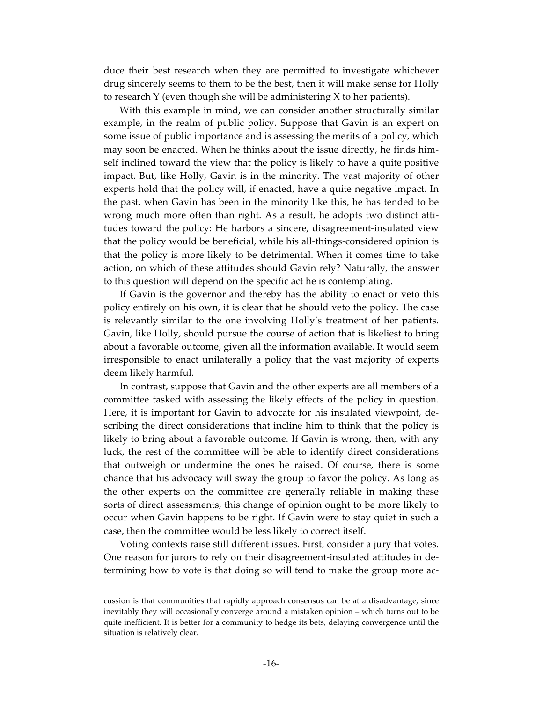duce their best research when they are permitted to investigate whichever drug sincerely seems to them to be the best, then it will make sense for Holly to research Y (even though she will be administering X to her patients).

With this example in mind, we can consider another structurally similar example, in the realm of public policy. Suppose that Gavin is an expert on some issue of public importance and is assessing the merits of a policy, which may soon be enacted. When he thinks about the issue directly, he finds himself inclined toward the view that the policy is likely to have a quite positive impact. But, like Holly, Gavin is in the minority. The vast majority of other experts hold that the policy will, if enacted, have a quite negative impact. In the past, when Gavin has been in the minority like this, he has tended to be wrong much more often than right. As a result, he adopts two distinct attitudes toward the policy: He harbors a sincere, disagreement-insulated view that the policy would be beneficial, while his all-things-considered opinion is that the policy is more likely to be detrimental. When it comes time to take action, on which of these attitudes should Gavin rely? Naturally, the answer to this question will depend on the specific act he is contemplating.

If Gavin is the governor and thereby has the ability to enact or veto this policy entirely on his own, it is clear that he should veto the policy. The case is relevantly similar to the one involving Holly's treatment of her patients. Gavin, like Holly, should pursue the course of action that is likeliest to bring about a favorable outcome, given all the information available. It would seem irresponsible to enact unilaterally a policy that the vast majority of experts deem likely harmful.

In contrast, suppose that Gavin and the other experts are all members of a committee tasked with assessing the likely effects of the policy in question. Here, it is important for Gavin to advocate for his insulated viewpoint, describing the direct considerations that incline him to think that the policy is likely to bring about a favorable outcome. If Gavin is wrong, then, with any luck, the rest of the committee will be able to identify direct considerations that outweigh or undermine the ones he raised. Of course, there is some chance that his advocacy will sway the group to favor the policy. As long as the other experts on the committee are generally reliable in making these sorts of direct assessments, this change of opinion ought to be more likely to occur when Gavin happens to be right. If Gavin were to stay quiet in such a case, then the committee would be less likely to correct itself.

Voting contexts raise still different issues. First, consider a jury that votes. One reason for jurors to rely on their disagreement-insulated attitudes in determining how to vote is that doing so will tend to make the group more ac-

cussion is that communities that rapidly approach consensus can be at a disadvantage, since inevitably they will occasionally converge around a mistaken opinion – which turns out to be quite inefficient. It is better for a community to hedge its bets, delaying convergence until the situation is relatively clear.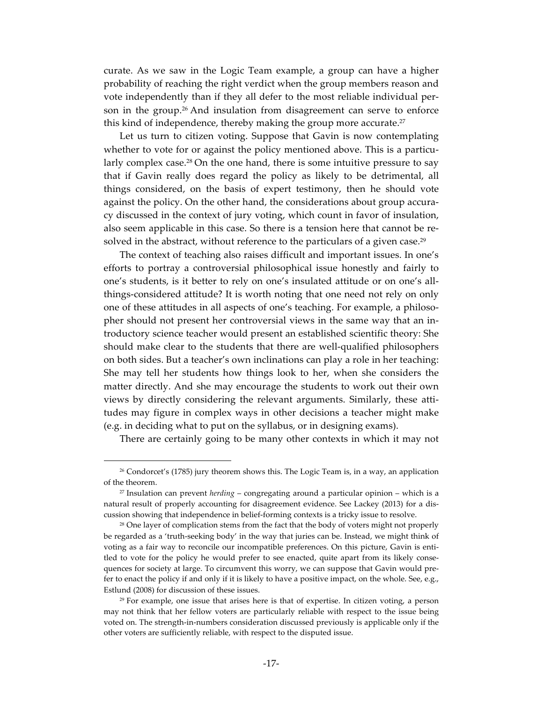curate. As we saw in the Logic Team example, a group can have a higher probability of reaching the right verdict when the group members reason and vote independently than if they all defer to the most reliable individual person in the group.<sup>26</sup> And insulation from disagreement can serve to enforce this kind of independence, thereby making the group more accurate.<sup>27</sup>

Let us turn to citizen voting. Suppose that Gavin is now contemplating whether to vote for or against the policy mentioned above. This is a particularly complex case.<sup>28</sup> On the one hand, there is some intuitive pressure to say that if Gavin really does regard the policy as likely to be detrimental, all things considered, on the basis of expert testimony, then he should vote against the policy. On the other hand, the considerations about group accuracy discussed in the context of jury voting, which count in favor of insulation, also seem applicable in this case. So there is a tension here that cannot be resolved in the abstract, without reference to the particulars of a given case.<sup>29</sup>

The context of teaching also raises difficult and important issues. In one's efforts to portray a controversial philosophical issue honestly and fairly to one's students, is it better to rely on one's insulated attitude or on one's allthings-considered attitude? It is worth noting that one need not rely on only one of these attitudes in all aspects of one's teaching. For example, a philosopher should not present her controversial views in the same way that an introductory science teacher would present an established scientific theory: She should make clear to the students that there are well-qualified philosophers on both sides. But a teacher's own inclinations can play a role in her teaching: She may tell her students how things look to her, when she considers the matter directly. And she may encourage the students to work out their own views by directly considering the relevant arguments. Similarly, these attitudes may figure in complex ways in other decisions a teacher might make (e.g. in deciding what to put on the syllabus, or in designing exams).

There are certainly going to be many other contexts in which it may not

 $26$  Condorcet's (1785) jury theorem shows this. The Logic Team is, in a way, an application of the theorem.

<sup>27</sup> Insulation can prevent *herding* – congregating around a particular opinion – which is a natural result of properly accounting for disagreement evidence. See Lackey (2013) for a discussion showing that independence in belief-forming contexts is a tricky issue to resolve.

<sup>&</sup>lt;sup>28</sup> One layer of complication stems from the fact that the body of voters might not properly be regarded as a 'truth-seeking body' in the way that juries can be. Instead, we might think of voting as a fair way to reconcile our incompatible preferences. On this picture, Gavin is entitled to vote for the policy he would prefer to see enacted, quite apart from its likely consequences for society at large. To circumvent this worry, we can suppose that Gavin would prefer to enact the policy if and only if it is likely to have a positive impact, on the whole. See, e.g., Estlund (2008) for discussion of these issues.

 $29$  For example, one issue that arises here is that of expertise. In citizen voting, a person may not think that her fellow voters are particularly reliable with respect to the issue being voted on. The strength-in-numbers consideration discussed previously is applicable only if the other voters are sufficiently reliable, with respect to the disputed issue.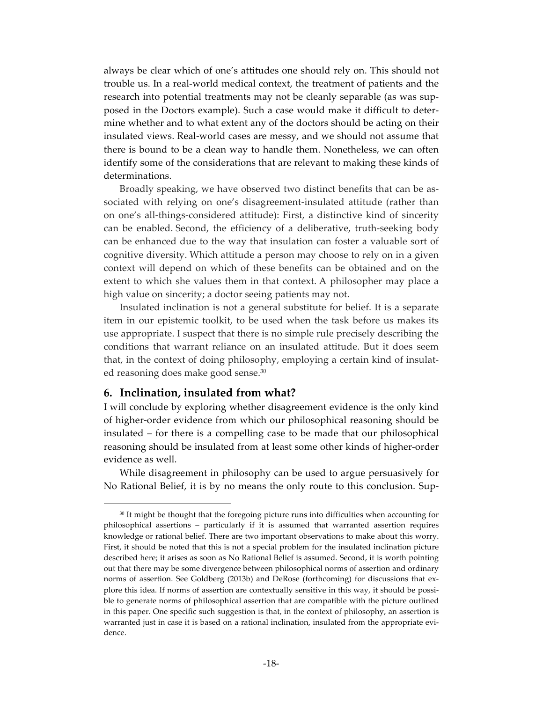always be clear which of one's attitudes one should rely on. This should not trouble us. In a real-world medical context, the treatment of patients and the research into potential treatments may not be cleanly separable (as was supposed in the Doctors example). Such a case would make it difficult to determine whether and to what extent any of the doctors should be acting on their insulated views. Real-world cases are messy, and we should not assume that there is bound to be a clean way to handle them. Nonetheless, we can often identify some of the considerations that are relevant to making these kinds of determinations.

Broadly speaking, we have observed two distinct benefits that can be associated with relying on one's disagreement-insulated attitude (rather than on one's all-things-considered attitude): First, a distinctive kind of sincerity can be enabled. Second, the efficiency of a deliberative, truth-seeking body can be enhanced due to the way that insulation can foster a valuable sort of cognitive diversity. Which attitude a person may choose to rely on in a given context will depend on which of these benefits can be obtained and on the extent to which she values them in that context. A philosopher may place a high value on sincerity; a doctor seeing patients may not.

Insulated inclination is not a general substitute for belief. It is a separate item in our epistemic toolkit, to be used when the task before us makes its use appropriate. I suspect that there is no simple rule precisely describing the conditions that warrant reliance on an insulated attitude. But it does seem that, in the context of doing philosophy, employing a certain kind of insulated reasoning does make good sense.30

## **6. Inclination, insulated from what?**

 $\overline{a}$ 

I will conclude by exploring whether disagreement evidence is the only kind of higher-order evidence from which our philosophical reasoning should be insulated – for there is a compelling case to be made that our philosophical reasoning should be insulated from at least some other kinds of higher-order evidence as well.

While disagreement in philosophy can be used to argue persuasively for No Rational Belief, it is by no means the only route to this conclusion. Sup-

<sup>&</sup>lt;sup>30</sup> It might be thought that the foregoing picture runs into difficulties when accounting for philosophical assertions – particularly if it is assumed that warranted assertion requires knowledge or rational belief. There are two important observations to make about this worry. First, it should be noted that this is not a special problem for the insulated inclination picture described here; it arises as soon as No Rational Belief is assumed. Second, it is worth pointing out that there may be some divergence between philosophical norms of assertion and ordinary norms of assertion. See Goldberg (2013b) and DeRose (forthcoming) for discussions that explore this idea. If norms of assertion are contextually sensitive in this way, it should be possible to generate norms of philosophical assertion that are compatible with the picture outlined in this paper. One specific such suggestion is that, in the context of philosophy, an assertion is warranted just in case it is based on a rational inclination, insulated from the appropriate evidence.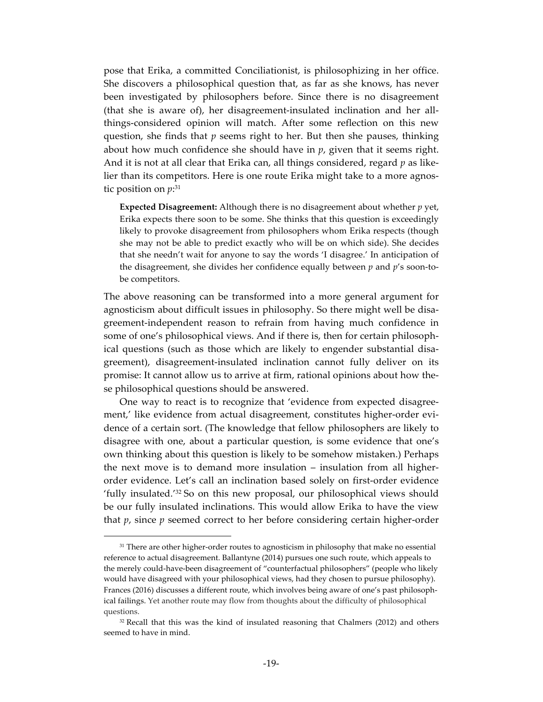pose that Erika, a committed Conciliationist, is philosophizing in her office. She discovers a philosophical question that, as far as she knows, has never been investigated by philosophers before. Since there is no disagreement (that she is aware of), her disagreement-insulated inclination and her allthings-considered opinion will match. After some reflection on this new question, she finds that  $p$  seems right to her. But then she pauses, thinking about how much confidence she should have in *p*, given that it seems right. And it is not at all clear that Erika can, all things considered, regard *p* as likelier than its competitors. Here is one route Erika might take to a more agnostic position on *p*: 31

**Expected Disagreement:** Although there is no disagreement about whether *p* yet, Erika expects there soon to be some. She thinks that this question is exceedingly likely to provoke disagreement from philosophers whom Erika respects (though she may not be able to predict exactly who will be on which side). She decides that she needn't wait for anyone to say the words 'I disagree.' In anticipation of the disagreement, she divides her confidence equally between *p* and *p*'s soon-tobe competitors.

The above reasoning can be transformed into a more general argument for agnosticism about difficult issues in philosophy. So there might well be disagreement-independent reason to refrain from having much confidence in some of one's philosophical views. And if there is, then for certain philosophical questions (such as those which are likely to engender substantial disagreement), disagreement-insulated inclination cannot fully deliver on its promise: It cannot allow us to arrive at firm, rational opinions about how these philosophical questions should be answered.

One way to react is to recognize that 'evidence from expected disagreement,' like evidence from actual disagreement, constitutes higher-order evidence of a certain sort. (The knowledge that fellow philosophers are likely to disagree with one, about a particular question, is some evidence that one's own thinking about this question is likely to be somehow mistaken.) Perhaps the next move is to demand more insulation – insulation from all higherorder evidence. Let's call an inclination based solely on first-order evidence 'fully insulated.' <sup>32</sup> So on this new proposal, our philosophical views should be our fully insulated inclinations. This would allow Erika to have the view that *p*, since *p* seemed correct to her before considering certain higher-order

<sup>&</sup>lt;sup>31</sup> There are other higher-order routes to agnosticism in philosophy that make no essential reference to actual disagreement. Ballantyne (2014) pursues one such route, which appeals to the merely could-have-been disagreement of "counterfactual philosophers" (people who likely would have disagreed with your philosophical views, had they chosen to pursue philosophy). Frances (2016) discusses a different route, which involves being aware of one's past philosophical failings. Yet another route may flow from thoughts about the difficulty of philosophical questions.

 $32$  Recall that this was the kind of insulated reasoning that Chalmers (2012) and others seemed to have in mind.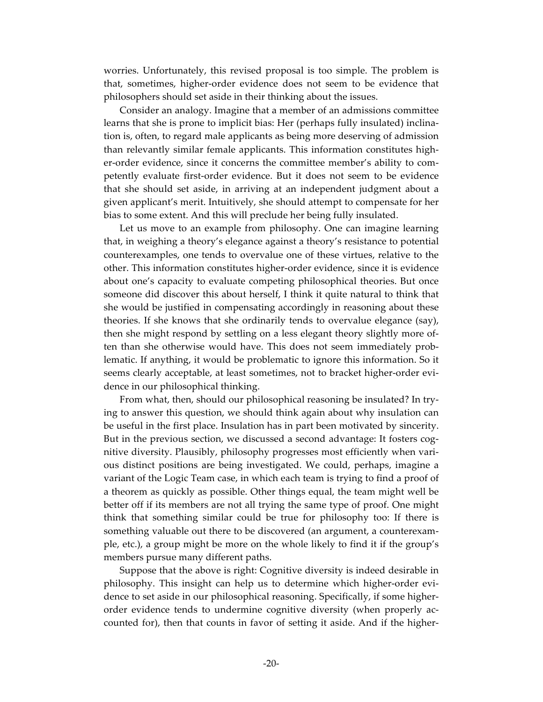worries. Unfortunately, this revised proposal is too simple. The problem is that, sometimes, higher-order evidence does not seem to be evidence that philosophers should set aside in their thinking about the issues.

Consider an analogy. Imagine that a member of an admissions committee learns that she is prone to implicit bias: Her (perhaps fully insulated) inclination is, often, to regard male applicants as being more deserving of admission than relevantly similar female applicants. This information constitutes higher-order evidence, since it concerns the committee member's ability to competently evaluate first-order evidence. But it does not seem to be evidence that she should set aside, in arriving at an independent judgment about a given applicant's merit. Intuitively, she should attempt to compensate for her bias to some extent. And this will preclude her being fully insulated.

Let us move to an example from philosophy. One can imagine learning that, in weighing a theory's elegance against a theory's resistance to potential counterexamples, one tends to overvalue one of these virtues, relative to the other. This information constitutes higher-order evidence, since it is evidence about one's capacity to evaluate competing philosophical theories. But once someone did discover this about herself, I think it quite natural to think that she would be justified in compensating accordingly in reasoning about these theories. If she knows that she ordinarily tends to overvalue elegance (say), then she might respond by settling on a less elegant theory slightly more often than she otherwise would have. This does not seem immediately problematic. If anything, it would be problematic to ignore this information. So it seems clearly acceptable, at least sometimes, not to bracket higher-order evidence in our philosophical thinking.

From what, then, should our philosophical reasoning be insulated? In trying to answer this question, we should think again about why insulation can be useful in the first place. Insulation has in part been motivated by sincerity. But in the previous section, we discussed a second advantage: It fosters cognitive diversity. Plausibly, philosophy progresses most efficiently when various distinct positions are being investigated. We could, perhaps, imagine a variant of the Logic Team case, in which each team is trying to find a proof of a theorem as quickly as possible. Other things equal, the team might well be better off if its members are not all trying the same type of proof. One might think that something similar could be true for philosophy too: If there is something valuable out there to be discovered (an argument, a counterexample, etc.), a group might be more on the whole likely to find it if the group's members pursue many different paths.

Suppose that the above is right: Cognitive diversity is indeed desirable in philosophy. This insight can help us to determine which higher-order evidence to set aside in our philosophical reasoning. Specifically, if some higherorder evidence tends to undermine cognitive diversity (when properly accounted for), then that counts in favor of setting it aside. And if the higher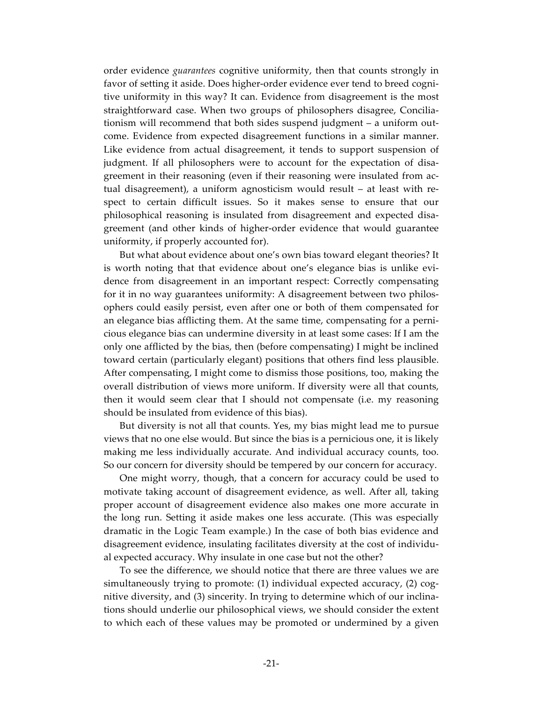order evidence *guarantees* cognitive uniformity, then that counts strongly in favor of setting it aside. Does higher-order evidence ever tend to breed cognitive uniformity in this way? It can. Evidence from disagreement is the most straightforward case. When two groups of philosophers disagree, Conciliationism will recommend that both sides suspend judgment – a uniform outcome. Evidence from expected disagreement functions in a similar manner. Like evidence from actual disagreement, it tends to support suspension of judgment. If all philosophers were to account for the expectation of disagreement in their reasoning (even if their reasoning were insulated from actual disagreement), a uniform agnosticism would result – at least with respect to certain difficult issues. So it makes sense to ensure that our philosophical reasoning is insulated from disagreement and expected disagreement (and other kinds of higher-order evidence that would guarantee uniformity, if properly accounted for).

But what about evidence about one's own bias toward elegant theories? It is worth noting that that evidence about one's elegance bias is unlike evidence from disagreement in an important respect: Correctly compensating for it in no way guarantees uniformity: A disagreement between two philosophers could easily persist, even after one or both of them compensated for an elegance bias afflicting them. At the same time, compensating for a pernicious elegance bias can undermine diversity in at least some cases: If I am the only one afflicted by the bias, then (before compensating) I might be inclined toward certain (particularly elegant) positions that others find less plausible. After compensating, I might come to dismiss those positions, too, making the overall distribution of views more uniform. If diversity were all that counts, then it would seem clear that I should not compensate (i.e. my reasoning should be insulated from evidence of this bias).

But diversity is not all that counts. Yes, my bias might lead me to pursue views that no one else would. But since the bias is a pernicious one, it is likely making me less individually accurate. And individual accuracy counts, too. So our concern for diversity should be tempered by our concern for accuracy.

One might worry, though, that a concern for accuracy could be used to motivate taking account of disagreement evidence, as well. After all, taking proper account of disagreement evidence also makes one more accurate in the long run. Setting it aside makes one less accurate. (This was especially dramatic in the Logic Team example.) In the case of both bias evidence and disagreement evidence, insulating facilitates diversity at the cost of individual expected accuracy. Why insulate in one case but not the other?

To see the difference, we should notice that there are three values we are simultaneously trying to promote: (1) individual expected accuracy, (2) cognitive diversity, and (3) sincerity. In trying to determine which of our inclinations should underlie our philosophical views, we should consider the extent to which each of these values may be promoted or undermined by a given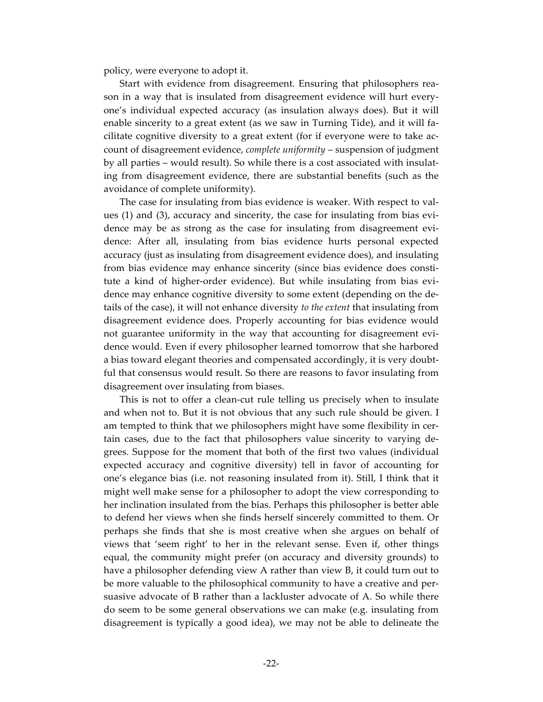policy, were everyone to adopt it.

Start with evidence from disagreement. Ensuring that philosophers reason in a way that is insulated from disagreement evidence will hurt everyone's individual expected accuracy (as insulation always does). But it will enable sincerity to a great extent (as we saw in Turning Tide), and it will facilitate cognitive diversity to a great extent (for if everyone were to take account of disagreement evidence, *complete uniformity* – suspension of judgment by all parties – would result). So while there is a cost associated with insulating from disagreement evidence, there are substantial benefits (such as the avoidance of complete uniformity).

The case for insulating from bias evidence is weaker. With respect to values (1) and (3), accuracy and sincerity, the case for insulating from bias evidence may be as strong as the case for insulating from disagreement evidence: After all, insulating from bias evidence hurts personal expected accuracy (just as insulating from disagreement evidence does), and insulating from bias evidence may enhance sincerity (since bias evidence does constitute a kind of higher-order evidence). But while insulating from bias evidence may enhance cognitive diversity to some extent (depending on the details of the case), it will not enhance diversity *to the extent* that insulating from disagreement evidence does. Properly accounting for bias evidence would not guarantee uniformity in the way that accounting for disagreement evidence would. Even if every philosopher learned tomorrow that she harbored a bias toward elegant theories and compensated accordingly, it is very doubtful that consensus would result. So there are reasons to favor insulating from disagreement over insulating from biases.

This is not to offer a clean-cut rule telling us precisely when to insulate and when not to. But it is not obvious that any such rule should be given. I am tempted to think that we philosophers might have some flexibility in certain cases, due to the fact that philosophers value sincerity to varying degrees. Suppose for the moment that both of the first two values (individual expected accuracy and cognitive diversity) tell in favor of accounting for one's elegance bias (i.e. not reasoning insulated from it). Still, I think that it might well make sense for a philosopher to adopt the view corresponding to her inclination insulated from the bias. Perhaps this philosopher is better able to defend her views when she finds herself sincerely committed to them. Or perhaps she finds that she is most creative when she argues on behalf of views that 'seem right' to her in the relevant sense. Even if, other things equal, the community might prefer (on accuracy and diversity grounds) to have a philosopher defending view A rather than view B, it could turn out to be more valuable to the philosophical community to have a creative and persuasive advocate of B rather than a lackluster advocate of A. So while there do seem to be some general observations we can make (e.g. insulating from disagreement is typically a good idea), we may not be able to delineate the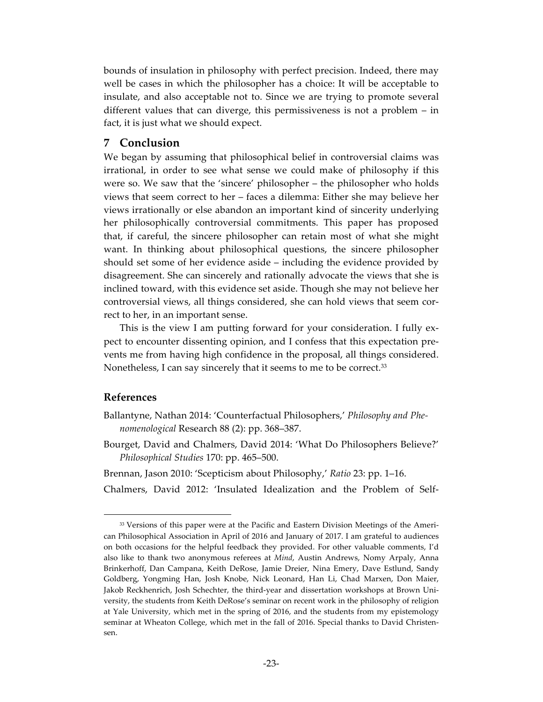bounds of insulation in philosophy with perfect precision. Indeed, there may well be cases in which the philosopher has a choice: It will be acceptable to insulate, and also acceptable not to. Since we are trying to promote several different values that can diverge, this permissiveness is not a problem – in fact, it is just what we should expect.

#### **7 Conclusion**

We began by assuming that philosophical belief in controversial claims was irrational, in order to see what sense we could make of philosophy if this were so. We saw that the 'sincere' philosopher – the philosopher who holds views that seem correct to her – faces a dilemma: Either she may believe her views irrationally or else abandon an important kind of sincerity underlying her philosophically controversial commitments. This paper has proposed that, if careful, the sincere philosopher can retain most of what she might want. In thinking about philosophical questions, the sincere philosopher should set some of her evidence aside – including the evidence provided by disagreement. She can sincerely and rationally advocate the views that she is inclined toward, with this evidence set aside. Though she may not believe her controversial views, all things considered, she can hold views that seem correct to her, in an important sense.

This is the view I am putting forward for your consideration. I fully expect to encounter dissenting opinion, and I confess that this expectation prevents me from having high confidence in the proposal, all things considered. Nonetheless, I can say sincerely that it seems to me to be correct.<sup>33</sup>

#### **References**

 $\overline{a}$ 

- Ballantyne, Nathan 2014: 'Counterfactual Philosophers,' *Philosophy and Phenomenological* Research 88 (2): pp. 368–387.
- Bourget, David and Chalmers, David 2014: 'What Do Philosophers Believe?' *Philosophical Studies* 170: pp. 465–500.

Brennan, Jason 2010: 'Scepticism about Philosophy,' *Ratio* 23: pp. 1–16.

Chalmers, David 2012: 'Insulated Idealization and the Problem of Self-

<sup>33</sup> Versions of this paper were at the Pacific and Eastern Division Meetings of the American Philosophical Association in April of 2016 and January of 2017. I am grateful to audiences on both occasions for the helpful feedback they provided. For other valuable comments, I'd also like to thank two anonymous referees at *Mind*, Austin Andrews, Nomy Arpaly, Anna Brinkerhoff, Dan Campana, Keith DeRose, Jamie Dreier, Nina Emery, Dave Estlund, Sandy Goldberg, Yongming Han, Josh Knobe, Nick Leonard, Han Li, Chad Marxen, Don Maier, Jakob Reckhenrich, Josh Schechter, the third-year and dissertation workshops at Brown University, the students from Keith DeRose's seminar on recent work in the philosophy of religion at Yale University, which met in the spring of 2016, and the students from my epistemology seminar at Wheaton College, which met in the fall of 2016. Special thanks to David Christensen.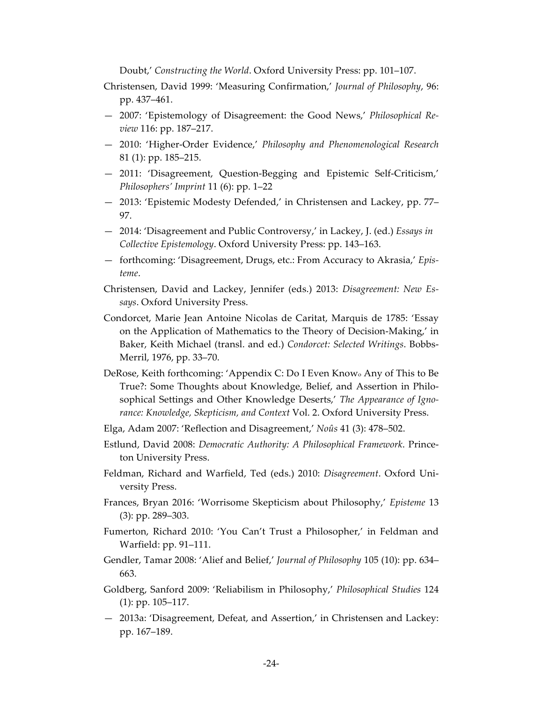Doubt,' *Constructing the World*. Oxford University Press: pp. 101–107.

- Christensen, David 1999: 'Measuring Confirmation,' *Journal of Philosophy*, 96: pp. 437–461.
- 2007: 'Epistemology of Disagreement: the Good News,' *Philosophical Review* 116: pp. 187–217.
- 2010: 'Higher-Order Evidence,' *Philosophy and Phenomenological Research* 81 (1): pp. 185–215.
- 2011: 'Disagreement, Question-Begging and Epistemic Self-Criticism,' *Philosophers' Imprint* 11 (6): pp. 1–22
- 2013: 'Epistemic Modesty Defended,' in Christensen and Lackey, pp. 77– 97.
- 2014: 'Disagreement and Public Controversy,' in Lackey, J. (ed.) *Essays in Collective Epistemology*. Oxford University Press: pp. 143–163.
- forthcoming: 'Disagreement, Drugs, etc.: From Accuracy to Akrasia,' *Episteme*.
- Christensen, David and Lackey, Jennifer (eds.) 2013: *Disagreement: New Essays*. Oxford University Press.
- Condorcet, Marie Jean Antoine Nicolas de Caritat, Marquis de 1785: 'Essay on the Application of Mathematics to the Theory of Decision-Making,' in Baker, Keith Michael (transl. and ed.) *Condorcet: Selected Writings*. Bobbs-Merril, 1976, pp. 33–70.
- DeRose, Keith forthcoming: 'Appendix C: Do I Even Knowo Any of This to Be True?: Some Thoughts about Knowledge, Belief, and Assertion in Philosophical Settings and Other Knowledge Deserts,' *The Appearance of Ignorance: Knowledge, Skepticism, and Context* Vol. 2. Oxford University Press.
- Elga, Adam 2007: 'Reflection and Disagreement,' *Noûs* 41 (3): 478–502.
- Estlund, David 2008: *Democratic Authority: A Philosophical Framework*. Princeton University Press.
- Feldman, Richard and Warfield, Ted (eds.) 2010: *Disagreement*. Oxford University Press.
- Frances, Bryan 2016: 'Worrisome Skepticism about Philosophy,' *Episteme* 13 (3): pp. 289–303.
- Fumerton, Richard 2010: 'You Can't Trust a Philosopher,' in Feldman and Warfield: pp. 91–111.
- Gendler, Tamar 2008: 'Alief and Belief,' *Journal of Philosophy* 105 (10): pp. 634– 663.
- Goldberg, Sanford 2009: 'Reliabilism in Philosophy,' *Philosophical Studies* 124 (1): pp. 105–117.
- 2013a: 'Disagreement, Defeat, and Assertion,' in Christensen and Lackey: pp. 167–189.